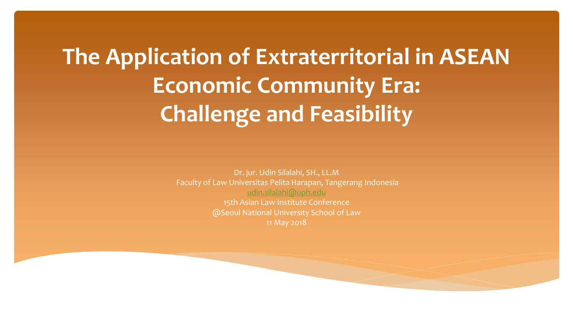# **The Application of Extraterritorial in ASEAN Economic Community Era: Challenge and Feasibility**

Dr. jur. Udin Silalahi, SH., LL.M Faculty of Law Universitas Pelita Harapan, Tangerang Indonesia [udin.silalahi@uph.edu](mailto:udin.silalahi@uph.edu) 15th Asian Law Institute Conference @Seoul National University School of Law 11 May 2018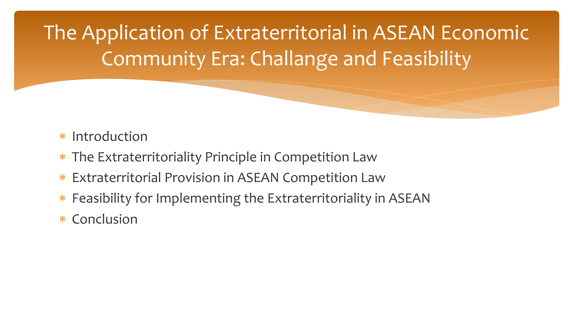The Application of Extraterritorial in ASEAN Economic Community Era: Challange and Feasibility

- \* Introduction
- The Extraterritoriality Principle in Competition Law
- Extraterritorial Provision in ASEAN Competition Law
- Feasibility for Implementing the Extraterritoriality in ASEAN
- \* Conclusion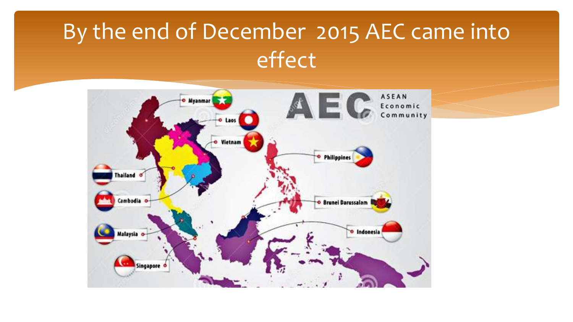# By the end of December 2015 AEC came into effect

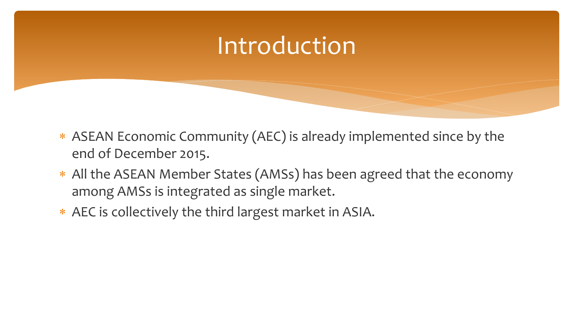### Introduction

- ASEAN Economic Community (AEC) is already implemented since by the end of December 2015.
- All the ASEAN Member States (AMSs) has been agreed that the economy among AMSs is integrated as single market.
- AEC is collectively the third largest market in ASIA.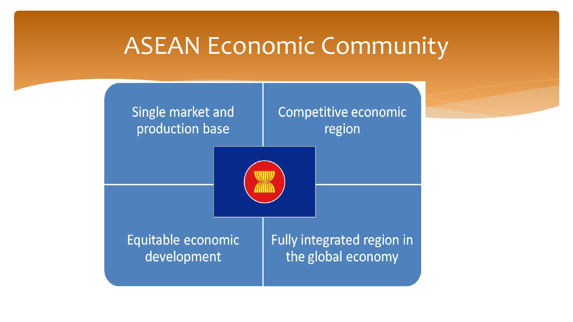### ASEAN Economic Community

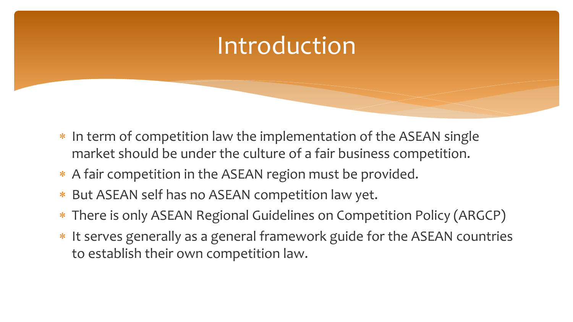## Introduction

- \* In term of competition law the implementation of the ASEAN single market should be under the culture of a fair business competition.
- \* A fair competition in the ASEAN region must be provided.
- But ASEAN self has no ASEAN competition law yet.
- There is only ASEAN Regional Guidelines on Competition Policy (ARGCP)
- \* It serves generally as a general framework guide for the ASEAN countries to establish their own competition law.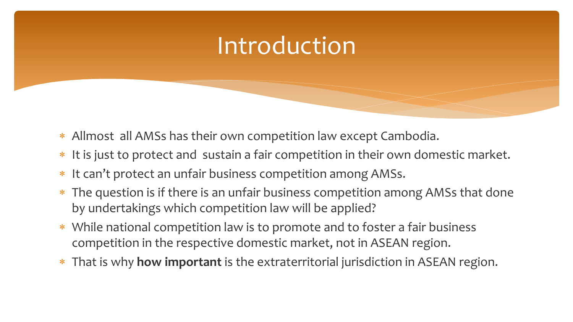## Introduction

- Allmost all AMSs has their own competition law except Cambodia.
- \* It is just to protect and sustain a fair competition in their own domestic market.
- \* It can't protect an unfair business competition among AMSs.
- The question is if there is an unfair business competition among AMSs that done by undertakings which competition law will be applied?
- While national competition law is to promote and to foster a fair business competition in the respective domestic market, not in ASEAN region.
- That is why **how important** is the extraterritorial jurisdiction in ASEAN region.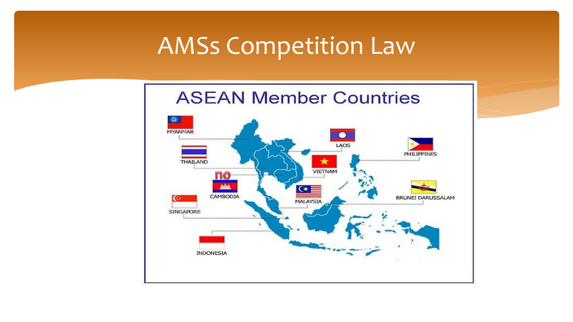### AMSs Competition Law

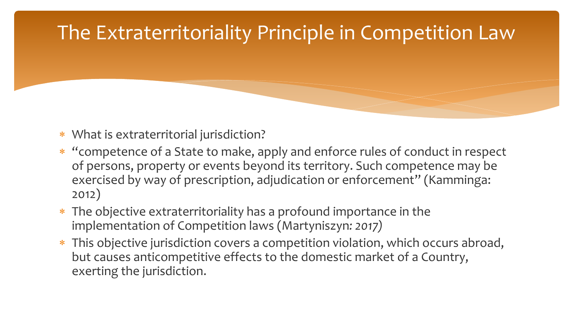### The Extraterritoriality Principle in Competition Law

- What is extraterritorial jurisdiction?
- "competence of a State to make, apply and enforce rules of conduct in respect of persons, property or events beyond its territory. Such competence may be exercised by way of prescription, adjudication or enforcement" (Kamminga: 2012)
- The objective extraterritoriality has a profound importance in the implementation of Competition laws (Martyniszyn*: 2017)*
- \* This objective jurisdiction covers a competition violation, which occurs abroad, but causes anticompetitive effects to the domestic market of a Country, exerting the jurisdiction.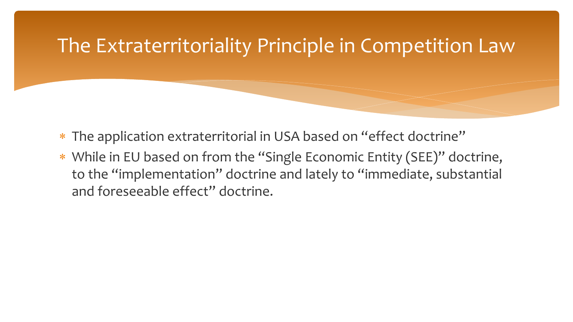### The Extraterritoriality Principle in Competition Law

- The application extraterritorial in USA based on "effect doctrine"
- While in EU based on from the "Single Economic Entity (SEE)" doctrine, to the "implementation" doctrine and lately to "immediate, substantial and foreseeable effect" doctrine.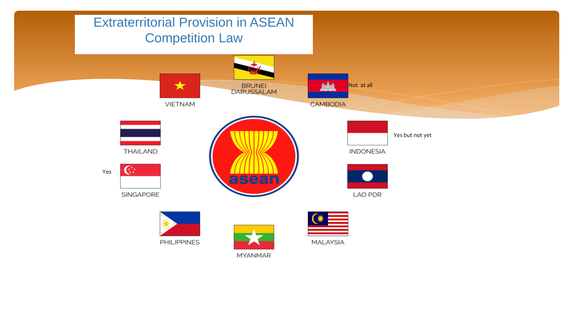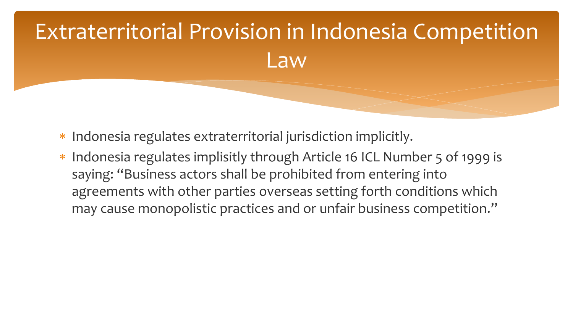# Extraterritorial Provision in Indonesia Competition Law

- \* Indonesia regulates extraterritorial jurisdiction implicitly.
- \* Indonesia regulates implisitly through Article 16 ICL Number 5 of 1999 is saying: "Business actors shall be prohibited from entering into agreements with other parties overseas setting forth conditions which may cause monopolistic practices and or unfair business competition."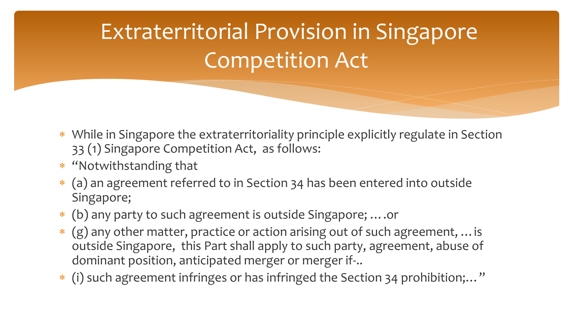# Extraterritorial Provision in Singapore Competition Act

- While in Singapore the extraterritoriality principle explicitly regulate in Section 33 (1) Singapore Competition Act, as follows:
- \* "Notwithstanding that
- (a) an agreement referred to in Section 34 has been entered into outside Singapore;
- (b) any party to such agreement is outside Singapore; ….or
- (g) any other matter, practice or action arising out of such agreement, …is outside Singapore, this Part shall apply to such party, agreement, abuse of dominant position, anticipated merger or merger if-..
- (i) such agreement infringes or has infringed the Section 34 prohibition;…"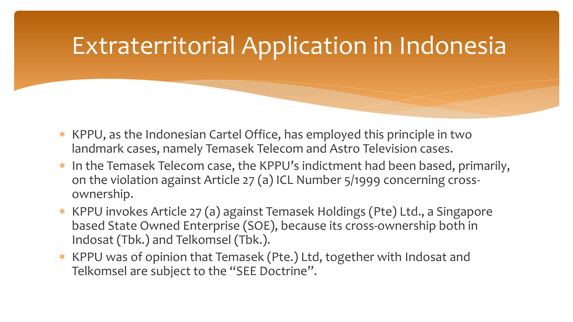# Extraterritorial Application in Indonesia

- \* KPPU, as the Indonesian Cartel Office, has employed this principle in two landmark cases, namely Temasek Telecom and Astro Television cases.
- \* In the Temasek Telecom case, the KPPU's indictment had been based, primarily, on the violation against Article 27 (a) ICL Number 5/1999 concerning crossownership.
- \* KPPU invokes Article 27 (a) against Temasek Holdings (Pte) Ltd., a Singapore based State Owned Enterprise (SOE), because its cross-ownership both in Indosat (Tbk.) and Telkomsel (Tbk.).
- \* KPPU was of opinion that Temasek (Pte.) Ltd, together with Indosat and Telkomsel are subject to the "SEE Doctrine".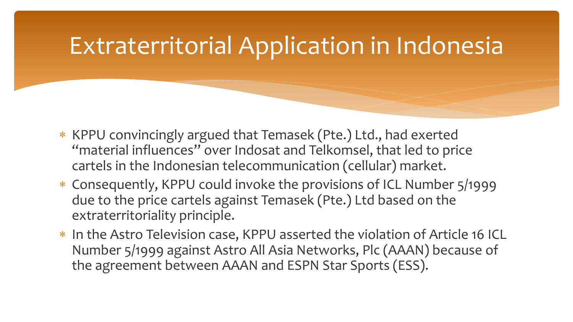# Extraterritorial Application in Indonesia

- \* KPPU convincingly argued that Temasek (Pte.) Ltd., had exerted "material influences" over Indosat and Telkomsel, that led to price cartels in the Indonesian telecommunication (cellular) market.
- Consequently, KPPU could invoke the provisions of ICL Number 5/1999 due to the price cartels against Temasek (Pte.) Ltd based on the extraterritoriality principle.
- \* In the Astro Television case, KPPU asserted the violation of Article 16 ICL Number 5/1999 against Astro All Asia Networks, Plc (AAAN) because of the agreement between AAAN and ESPN Star Sports (ESS).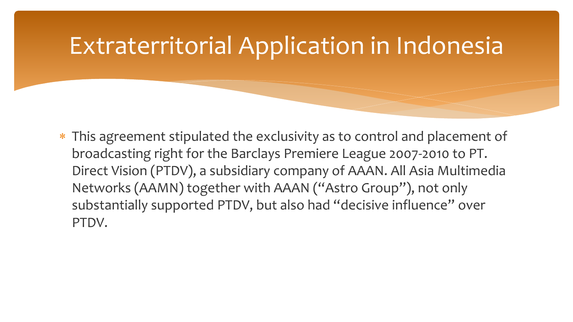## Extraterritorial Application in Indonesia

\* This agreement stipulated the exclusivity as to control and placement of broadcasting right for the Barclays Premiere League 2007-2010 to PT. Direct Vision (PTDV), a subsidiary company of AAAN. All Asia Multimedia Networks (AAMN) together with AAAN ("Astro Group"), not only substantially supported PTDV, but also had "decisive influence" over PTDV.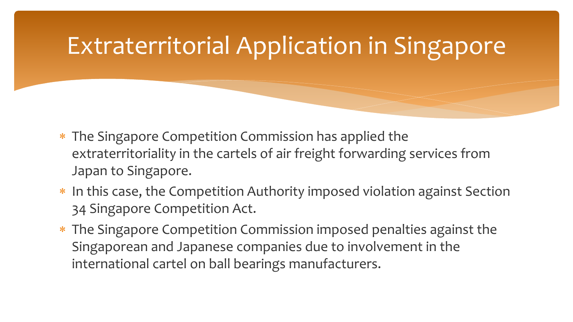# Extraterritorial Application in Singapore

- \* The Singapore Competition Commission has applied the extraterritoriality in the cartels of air freight forwarding services from Japan to Singapore.
- \* In this case, the Competition Authority imposed violation against Section 34 Singapore Competition Act.
- The Singapore Competition Commission imposed penalties against the Singaporean and Japanese companies due to involvement in the international cartel on ball bearings manufacturers.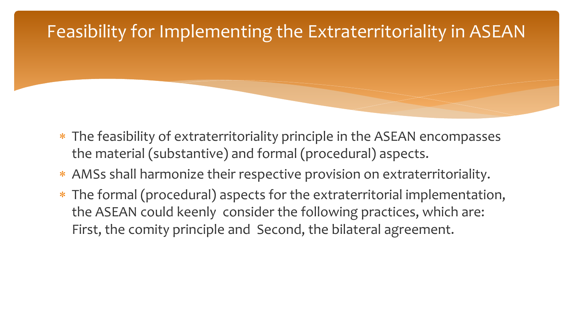#### Feasibility for Implementing the Extraterritoriality in ASEAN

- The feasibility of extraterritoriality principle in the ASEAN encompasses the material (substantive) and formal (procedural) aspects.
- AMSs shall harmonize their respective provision on extraterritoriality.
- The formal (procedural) aspects for the extraterritorial implementation, the ASEAN could keenly consider the following practices, which are: First, the comity principle and Second, the bilateral agreement.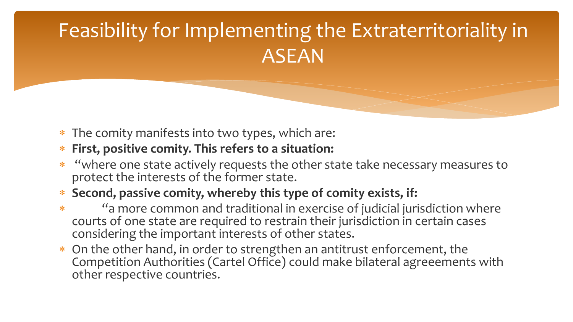### Feasibility for Implementing the Extraterritoriality in ASEAN

- \* The comity manifests into two types, which are:
- **First, positive comity. This refers to a situation:**
- \* "where one state actively requests the other state take necessary measures to protect the interests of the former state.
- **Second, passive comity, whereby this type of comity exists, if:**
- "a more common and traditional in exercise of judicial jurisdiction where courts of one state are required to restrain their jurisdiction in certain cases considering the important interests of other states.
- On the other hand, in order to strengthen an antitrust enforcement, the Competition Authorities (Cartel Office) could make bilateral agreeements with other respective countries.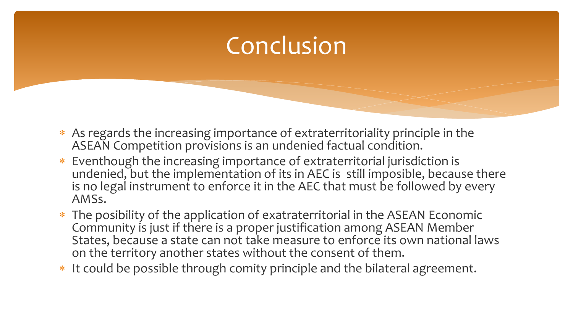# Conclusion

- As regards the increasing importance of extraterritoriality principle in the ASEAN Competition provisions is an undenied factual condition.
- Eventhough the increasing importance of extraterritorial jurisdiction is undenied, but the implementation of its in AEC is still imposible, because there is no legal instrument to enforce it in the AEC that must be followed by every AMSs.
- The posibility of the application of exatraterritorial in the ASEAN Economic Community is just if there is a proper justification among ASEAN Member States, because a state can not take measure to enforce its own national laws on the territory another states without the consent of them.
- \* It could be possible through comity principle and the bilateral agreement.